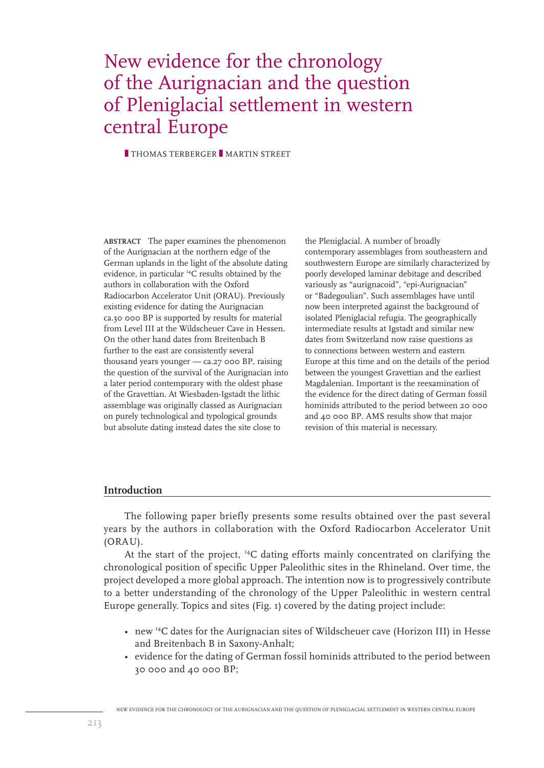# New evidence for the chronology of the Aurignacian and the question of Pleniglacial settlement in western central Europe

**THOMAS TERBERGER MARTIN STREET** 

**ABSTRACT** The paper examines the phenomenon of the Aurignacian at the northern edge of the German uplands in the light of the absolute dating evidence, in particular 14C results obtained by the authors in collaboration with the Oxford Radiocarbon Accelerator Unit (ORAU). Previously existing evidence for dating the Aurignacian ca.30 000 BP is supported by results for material from Level III at the Wildscheuer Cave in Hessen. On the other hand dates from Breitenbach B further to the east are consistently several thousand years younger — ca.27 000 BP, raising the question of the survival of the Aurignacian into a later period contemporary with the oldest phase of the Gravettian. At Wiesbaden-Igstadt the lithic assemblage was originally classed as Aurignacian on purely technological and typological grounds but absolute dating instead dates the site close to

the Pleniglacial. A number of broadly contemporary assemblages from southeastern and southwestern Europe are similarly characterized by poorly developed laminar debitage and described variously as "aurignacoid", "epi-Aurignacian" or "Badegoulian". Such assemblages have until now been interpreted against the background of isolated Pleniglacial refugia. The geographically intermediate results at Igstadt and similar new dates from Switzerland now raise questions as to connections between western and eastern Europe at this time and on the details of the period between the youngest Gravettian and the earliest Magdalenian. Important is the reexamination of the evidence for the direct dating of German fossil hominids attributed to the period between 20 000 and 40 000 BP. AMS results show that major revision of this material is necessary.

### **Introduction**

The following paper briefly presents some results obtained over the past several years by the authors in collaboration with the Oxford Radiocarbon Accelerator Unit (ORAU).

At the start of the project, 14C dating efforts mainly concentrated on clarifying the chronological position of specific Upper Paleolithic sites in the Rhineland. Over time, the project developed a more global approach. The intention now is to progressively contribute to a better understanding of the chronology of the Upper Paleolithic in western central Europe generally. Topics and sites (Fig. 1) covered by the dating project include:

- new 14C dates for the Aurignacian sites of Wildscheuer cave (Horizon III) in Hesse and Breitenbach B in Saxony-Anhalt;
- evidence for the dating of German fossil hominids attributed to the period between 30 000 and 40 000 BP;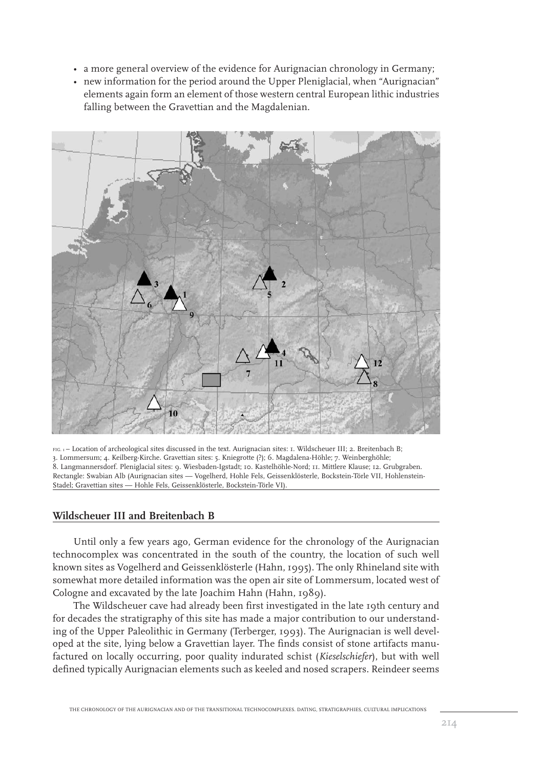- a more general overview of the evidence for Aurignacian chronology in Germany;
- new information for the period around the Upper Pleniglacial, when "Aurignacian" elements again form an element of those western central European lithic industries falling between the Gravettian and the Magdalenian.



FIG. 1- Location of archeological sites discussed in the text. Aurignacian sites: 1. Wildscheuer III; 2. Breitenbach B; 3. Lommersum; 4. Keilberg-Kirche. Gravettian sites: 5. Kniegrotte (?); 6. Magdalena-Höhle; 7. Weinberghöhle; 8. Langmannersdorf. Pleniglacial sites: 9. Wiesbaden-Igstadt; 10. Kastelhöhle-Nord; 11. Mittlere Klause; 12. Grubgraben. Rectangle: Swabian Alb (Aurignacian sites — Vogelherd, Hohle Fels, Geissenklösterle, Bockstein-Törle VII, Hohlenstein-Stadel; Gravettian sites — Hohle Fels, Geissenklösterle, Bockstein-Törle VI).

## **Wildscheuer III and Breitenbach B**

Until only a few years ago, German evidence for the chronology of the Aurignacian technocomplex was concentrated in the south of the country, the location of such well known sites as Vogelherd and Geissenklösterle (Hahn, 1995). The only Rhineland site with somewhat more detailed information was the open air site of Lommersum, located west of Cologne and excavated by the late Joachim Hahn (Hahn, 1989).

The Wildscheuer cave had already been first investigated in the late 19th century and for decades the stratigraphy of this site has made a major contribution to our understanding of the Upper Paleolithic in Germany (Terberger, 1993). The Aurignacian is well developed at the site, lying below a Gravettian layer. The finds consist of stone artifacts manufactured on locally occurring, poor quality indurated schist (*Kieselschiefer*), but with well defined typically Aurignacian elements such as keeled and nosed scrapers. Reindeer seems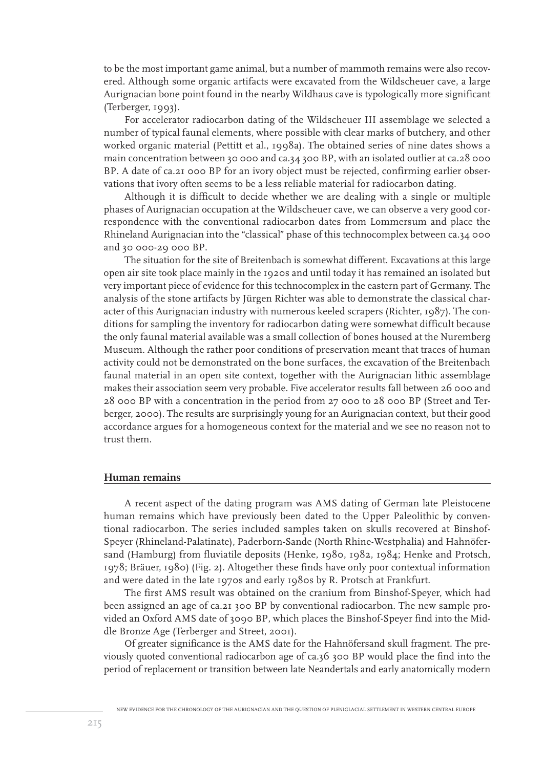to be the most important game animal, but a number of mammoth remains were also recovered. Although some organic artifacts were excavated from the Wildscheuer cave, a large Aurignacian bone point found in the nearby Wildhaus cave is typologically more significant (Terberger, 1993).

For accelerator radiocarbon dating of the Wildscheuer III assemblage we selected a number of typical faunal elements, where possible with clear marks of butchery, and other worked organic material (Pettitt et al., 1998a). The obtained series of nine dates shows a main concentration between 30 000 and ca.34 300 BP, with an isolated outlier at ca.28 000 BP. A date of ca.21 000 BP for an ivory object must be rejected, confirming earlier observations that ivory often seems to be a less reliable material for radiocarbon dating.

Although it is difficult to decide whether we are dealing with a single or multiple phases of Aurignacian occupation at the Wildscheuer cave, we can observe a very good correspondence with the conventional radiocarbon dates from Lommersum and place the Rhineland Aurignacian into the "classical" phase of this technocomplex between ca.34 000 and 30 000-29 000 BP.

The situation for the site of Breitenbach is somewhat different. Excavations at this large open air site took place mainly in the 1920s and until today it has remained an isolated but very important piece of evidence for this technocomplex in the eastern part of Germany. The analysis of the stone artifacts by Jürgen Richter was able to demonstrate the classical character of this Aurignacian industry with numerous keeled scrapers (Richter, 1987). The conditions for sampling the inventory for radiocarbon dating were somewhat difficult because the only faunal material available was a small collection of bones housed at the Nuremberg Museum. Although the rather poor conditions of preservation meant that traces of human activity could not be demonstrated on the bone surfaces, the excavation of the Breitenbach faunal material in an open site context, together with the Aurignacian lithic assemblage makes their association seem very probable. Five accelerator results fall between 26 000 and 28 000 BP with a concentration in the period from 27 000 to 28 000 BP (Street and Terberger, 2000). The results are surprisingly young for an Aurignacian context, but their good accordance argues for a homogeneous context for the material and we see no reason not to trust them.

## **Human remains**

A recent aspect of the dating program was AMS dating of German late Pleistocene human remains which have previously been dated to the Upper Paleolithic by conventional radiocarbon. The series included samples taken on skulls recovered at Binshof-Speyer (Rhineland-Palatinate), Paderborn-Sande (North Rhine-Westphalia) and Hahnöfersand (Hamburg) from fluviatile deposits (Henke, 1980, 1982, 1984; Henke and Protsch, 1978; Bräuer, 1980) (Fig. 2). Altogether these finds have only poor contextual information and were dated in the late 1970s and early 1980s by R. Protsch at Frankfurt.

The first AMS result was obtained on the cranium from Binshof-Speyer, which had been assigned an age of ca.21 300 BP by conventional radiocarbon. The new sample provided an Oxford AMS date of 3090 BP, which places the Binshof-Speyer find into the Middle Bronze Age (Terberger and Street, 2001).

Of greater significance is the AMS date for the Hahnöfersand skull fragment. The previously quoted conventional radiocarbon age of ca.36 300 BP would place the find into the period of replacement or transition between late Neandertals and early anatomically modern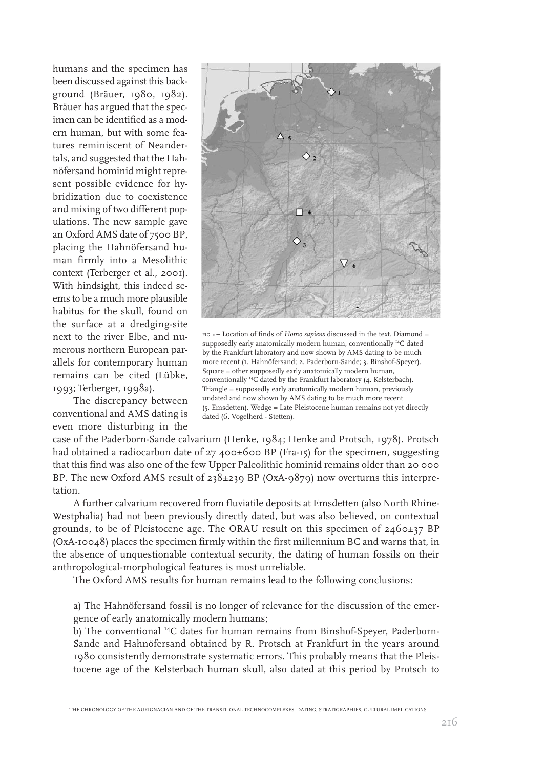humans and the specimen has been discussed against this background (Bräuer, 1980, 1982). Bräuer has argued that the specimen can be identified as a modern human, but with some features reminiscent of Neandertals, and suggested that the Hahnöfersand hominid might represent possible evidence for hybridization due to coexistence and mixing of two different populations. The new sample gave an Oxford AMS date of 7500 BP, placing the Hahnöfersand human firmly into a Mesolithic context (Terberger et al., 2001). With hindsight, this indeed seems to be a much more plausible habitus for the skull, found on the surface at a dredging-site next to the river Elbe, and numerous northern European parallels for contemporary human remains can be cited (Lübke, 1993; Terberger, 1998a).

The discrepancy between conventional and AMS dating is even more disturbing in the



FIG. 2 – Location of finds of *Homo sapiens* discussed in the text. Diamond = supposedly early anatomically modern human, conventionally <sup>14</sup>C dated by the Frankfurt laboratory and now shown by AMS dating to be much more recent (1. Hahnöfersand; 2. Paderborn-Sande; 3. Binshof-Speyer). Square = other supposedly early anatomically modern human, conventionally 14C dated by the Frankfurt laboratory (4. Kelsterbach). Triangle = supposedly early anatomically modern human, previously undated and now shown by AMS dating to be much more recent (5. Emsdetten). Wedge = Late Pleistocene human remains not yet directly dated (6. Vogelherd - Stetten).

case of the Paderborn-Sande calvarium (Henke, 1984; Henke and Protsch, 1978). Protsch had obtained a radiocarbon date of 27 400±600 BP (Fra-15) for the specimen, suggesting that this find was also one of the few Upper Paleolithic hominid remains older than 20 000 BP. The new Oxford AMS result of 238±239 BP (OxA-9879) now overturns this interpretation.

A further calvarium recovered from fluviatile deposits at Emsdetten (also North Rhine-Westphalia) had not been previously directly dated, but was also believed, on contextual grounds, to be of Pleistocene age. The ORAU result on this specimen of  $2460\pm37$  BP (OxA-10048) places the specimen firmly within the first millennium BC and warns that, in the absence of unquestionable contextual security, the dating of human fossils on their anthropological-morphological features is most unreliable.

The Oxford AMS results for human remains lead to the following conclusions:

a) The Hahnöfersand fossil is no longer of relevance for the discussion of the emergence of early anatomically modern humans;

b) The conventional 14C dates for human remains from Binshof-Speyer, Paderborn-Sande and Hahnöfersand obtained by R. Protsch at Frankfurt in the years around 1980 consistently demonstrate systematic errors. This probably means that the Pleistocene age of the Kelsterbach human skull, also dated at this period by Protsch to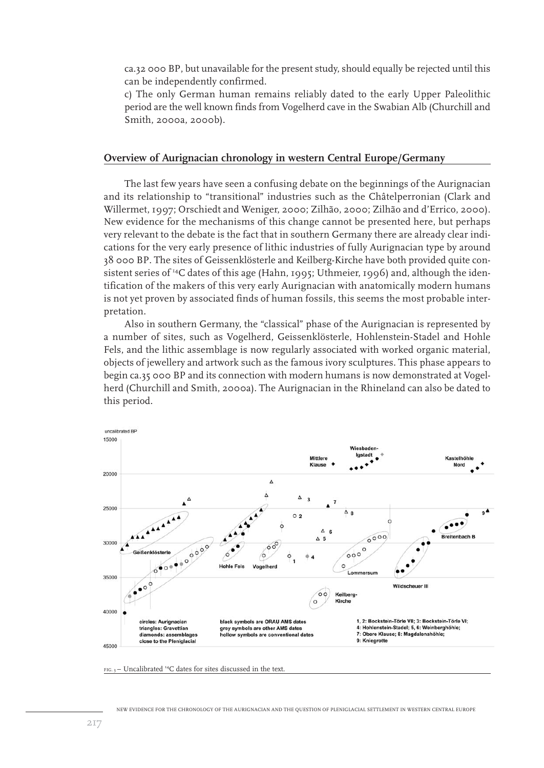ca.32 000 BP, but unavailable for the present study, should equally be rejected until this can be independently confirmed.

c) The only German human remains reliably dated to the early Upper Paleolithic period are the well known finds from Vogelherd cave in the Swabian Alb (Churchill and Smith, 2000a, 2000b).

#### **Overview of Aurignacian chronology in western Central Europe/Germany**

The last few years have seen a confusing debate on the beginnings of the Aurignacian and its relationship to "transitional" industries such as the Châtelperronian (Clark and Willermet, 1997; Orschiedt and Weniger, 2000; Zilhão, 2000; Zilhão and d'Errico, 2000). New evidence for the mechanisms of this change cannot be presented here, but perhaps very relevant to the debate is the fact that in southern Germany there are already clear indications for the very early presence of lithic industries of fully Aurignacian type by around 38 000 BP. The sites of Geissenklösterle and Keilberg-Kirche have both provided quite consistent series of <sup>14</sup>C dates of this age (Hahn, 1995; Uthmeier, 1996) and, although the identification of the makers of this very early Aurignacian with anatomically modern humans is not yet proven by associated finds of human fossils, this seems the most probable interpretation.

Also in southern Germany, the "classical" phase of the Aurignacian is represented by a number of sites, such as Vogelherd, Geissenklösterle, Hohlenstein-Stadel and Hohle Fels, and the lithic assemblage is now regularly associated with worked organic material, objects of jewellery and artwork such as the famous ivory sculptures. This phase appears to begin ca.35 000 BP and its connection with modern humans is now demonstrated at Vogelherd (Churchill and Smith, 2000a). The Aurignacian in the Rhineland can also be dated to this period.



 $FIG.$ <sub>3</sub> – Uncalibrated <sup>14</sup>C dates for sites discussed in the text.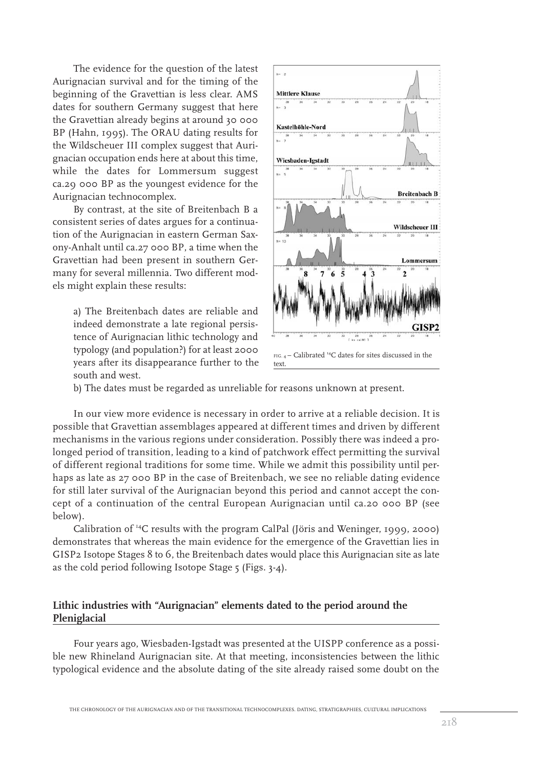The evidence for the question of the latest Aurignacian survival and for the timing of the beginning of the Gravettian is less clear. AMS dates for southern Germany suggest that here the Gravettian already begins at around 30 000 BP (Hahn, 1995). The ORAU dating results for the Wildscheuer III complex suggest that Aurignacian occupation ends here at about this time, while the dates for Lommersum suggest ca.29 000 BP as the youngest evidence for the Aurignacian technocomplex.

By contrast, at the site of Breitenbach B a consistent series of dates argues for a continuation of the Aurignacian in eastern German Saxony-Anhalt until ca.27 000 BP, a time when the Gravettian had been present in southern Germany for several millennia. Two different models might explain these results:

a) The Breitenbach dates are reliable and indeed demonstrate a late regional persistence of Aurignacian lithic technology and typology (and population?) for at least 2000 years after its disappearance further to the south and west.



b) The dates must be regarded as unreliable for reasons unknown at present.

In our view more evidence is necessary in order to arrive at a reliable decision. It is possible that Gravettian assemblages appeared at different times and driven by different mechanisms in the various regions under consideration. Possibly there was indeed a prolonged period of transition, leading to a kind of patchwork effect permitting the survival of different regional traditions for some time. While we admit this possibility until perhaps as late as 27 000 BP in the case of Breitenbach, we see no reliable dating evidence for still later survival of the Aurignacian beyond this period and cannot accept the concept of a continuation of the central European Aurignacian until ca.20 000 BP (see below).

Calibration of 14C results with the program CalPal (Jöris and Weninger, 1999, 2000) demonstrates that whereas the main evidence for the emergence of the Gravettian lies in GISP2 Isotope Stages 8 to 6, the Breitenbach dates would place this Aurignacian site as late as the cold period following Isotope Stage 5 (Figs. 3-4).

## **Lithic industries with "Aurignacian" elements dated to the period around the Pleniglacial**

Four years ago, Wiesbaden-Igstadt was presented at the UISPP conference as a possible new Rhineland Aurignacian site. At that meeting, inconsistencies between the lithic typological evidence and the absolute dating of the site already raised some doubt on the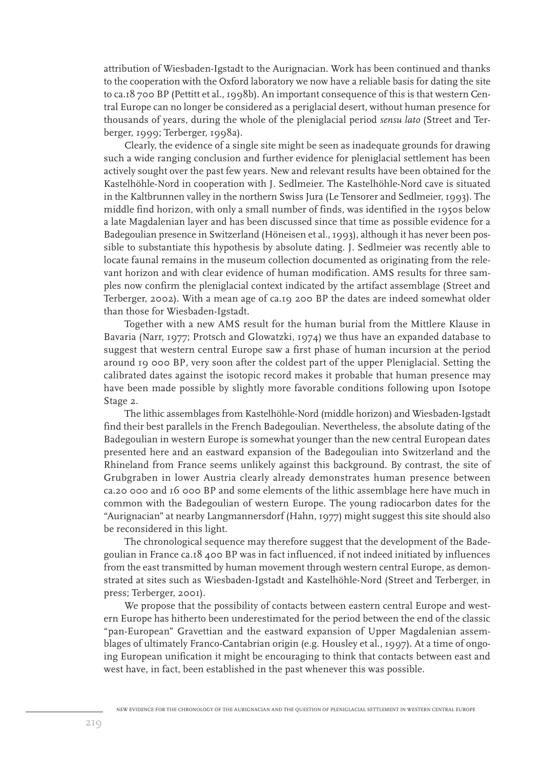attribution of Wiesbaden-Igstadt to the Aurignacian. Work has been continued and thanks to the cooperation with the Oxford laboratory we now have a reliable basis for dating the site to ca.18 700 BP (Pettitt et al., 1998b). An important consequence of this is that western Central Europe can no longer be considered as a periglacial desert, without human presence for thousands of years, during the whole of the pleniglacial period *sensu lato* (Street and Terberger, 1999; Terberger, 1998a).

Clearly, the evidence of a single site might be seen as inadequate grounds for drawing such a wide ranging conclusion and further evidence for pleniglacial settlement has been actively sought over the past few years. New and relevant results have been obtained for the Kastelhöhle-Nord in cooperation with J. Sedlmeier. The Kastelhöhle-Nord cave is situated in the Kaltbrunnen valley in the northern Swiss Jura (Le Tensorer and Sedlmeier, 1993). The middle find horizon, with only a small number of finds, was identified in the 1950s below a late Magdalenian layer and has been discussed since that time as possible evidence for a Badegoulian presence in Switzerland (Höneisen et al., 1993), although it has never been possible to substantiate this hypothesis by absolute dating. J. Sedlmeier was recently able to locate faunal remains in the museum collection documented as originating from the relevant horizon and with clear evidence of human modification. AMS results for three samples now confirm the pleniglacial context indicated by the artifact assemblage (Street and Terberger, 2002). With a mean age of ca.19 200 BP the dates are indeed somewhat older than those for Wiesbaden-Igstadt.

Together with a new AMS result for the human burial from the Mittlere Klause in Bavaria (Narr, 1977; Protsch and Glowatzki, 1974) we thus have an expanded database to suggest that western central Europe saw a first phase of human incursion at the period around 19 000 BP, very soon after the coldest part of the upper Pleniglacial. Setting the calibrated dates against the isotopic record makes it probable that human presence may have been made possible by slightly more favorable conditions following upon Isotope Stage 2.

The lithic assemblages from Kastelhöhle-Nord (middle horizon) and Wiesbaden-Igstadt find their best parallels in the French Badegoulian. Nevertheless, the absolute dating of the Badegoulian in western Europe is somewhat younger than the new central European dates presented here and an eastward expansion of the Badegoulian into Switzerland and the Rhineland from France seems unlikely against this background. By contrast, the site of Grubgraben in lower Austria clearly already demonstrates human presence between ca.20 000 and 16 000 BP and some elements of the lithic assemblage here have much in common with the Badegoulian of western Europe. The young radiocarbon dates for the "Aurignacian" at nearby Langmannersdorf (Hahn, 1977) might suggest this site should also be reconsidered in this light.

The chronological sequence may therefore suggest that the development of the Badegoulian in France ca.18 400 BP was in fact influenced, if not indeed initiated by influences from the east transmitted by human movement through western central Europe, as demonstrated at sites such as Wiesbaden-Igstadt and Kastelhöhle-Nord (Street and Terberger, in press; Terberger, 2001).

We propose that the possibility of contacts between eastern central Europe and western Europe has hitherto been underestimated for the period between the end of the classic "pan-European" Gravettian and the eastward expansion of Upper Magdalenian assemblages of ultimately Franco-Cantabrian origin (e.g. Housley et al., 1997). At a time of ongoing European unification it might be encouraging to think that contacts between east and west have, in fact, been established in the past whenever this was possible.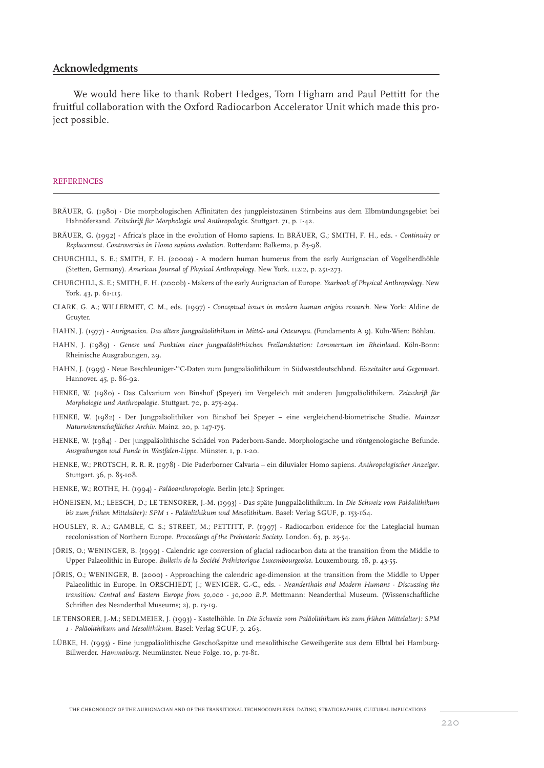#### **Acknowledgments**

We would here like to thank Robert Hedges, Tom Higham and Paul Pettitt for the fruitful collaboration with the Oxford Radiocarbon Accelerator Unit which made this project possible.

#### **REFERENCES**

- BRÄUER, G. (1980) Die morphologischen Affinitäten des jungpleistozänen Stirnbeins aus dem Elbmündungsgebiet bei Hahnöfersand. *Zeitschrift für Morphologie und Anthropologie*. Stuttgart. 71, p. 1-42.
- BRÄUER, G. (1992) Africa's place in the evolution of Homo sapiens. In BRÄUER, G.; SMITH, F. H., eds. *Continuity or Replacement. Controversies in Homo sapiens evolution*. Rotterdam: Balkema, p. 83-98.
- CHURCHILL, S. E.; SMITH, F. H. (2000a) A modern human humerus from the early Aurignacian of Vogelherdhöhle (Stetten, Germany). *American Journal of Physical Anthropology*. New York. 112:2, p. 251-273.
- CHURCHILL, S. E.; SMITH, F. H. (2000b) Makers of the early Aurignacian of Europe. *Yearbook of Physical Anthropology*. New York. 43, p. 61-115.
- CLARK, G. A.; WILLERMET, C. M., eds. (1997) *Conceptual issues in modern human origins research*. New York: Aldine de Gruyter.
- HAHN, J. (1977) *Aurignacien. Das ältere Jungpaläolithikum in Mittel- und Osteuropa*. (Fundamenta A 9). Köln-Wien: Böhlau.
- HAHN, J. (1989) *Genese und Funktion einer jungpaläolithischen Freilandstation: Lommersum im Rheinland*. Köln-Bonn: Rheinische Ausgrabungen, 29.
- HAHN, J. (1995) Neue Beschleuniger-14C-Daten zum Jungpaläolithikum in Südwestdeutschland. *Eiszeitalter und Gegenwart*. Hannover. 45, p. 86-92.
- HENKE, W. (1980) Das Calvarium von Binshof (Speyer) im Vergeleich mit anderen Jungpaläolithikern. *Zeitschrift für Morphologie und Anthropologie*. Stuttgart. 70, p. 275-294.
- HENKE, W. (1982) Der Jungpaläolithiker von Binshof bei Speyer eine vergleichend-biometrische Studie. *Mainzer Naturwissenschaftliches Archiv*. Mainz. 20, p. 147-175.
- HENKE, W. (1984) Der jungpaläolithische Schädel von Paderborn-Sande. Morphologische und röntgenologische Befunde. *Ausgrabungen und Funde in Westfalen-Lippe*. Münster. 1, p. 1-20.
- HENKE, W.; PROTSCH, R. R. R. (1978) Die Paderborner Calvaria ein diluvialer Homo sapiens. *Anthropologischer Anzeiger*. Stuttgart. 36, p. 85-108.
- HENKE, W.; ROTHE, H. (1994) *Paläoanthropologie*. Berlin [etc.]: Springer.
- HÖNEISEN, M.; LEESCH, D.; LE TENSORER, J.-M. (1993) Das späte Jungpaläolithikum. In *Die Schweiz vom Paläolithikum bis zum frühen Mittelalter): SPM 1 - Paläolithikum und Mesolithikum*. Basel: Verlag SGUF, p. 153-164.
- HOUSLEY, R. A.; GAMBLE, C. S.; STREET, M.; PETTITT, P. (1997) Radiocarbon evidence for the Lateglacial human recolonisation of Northern Europe. *Proceedings of the Prehistoric Society*. London. 63, p. 25-54.
- JÖRIS, O.; WENINGER, B. (1999) Calendric age conversion of glacial radiocarbon data at the transition from the Middle to Upper Palaeolithic in Europe. *Bulletin de la Société Préhistorique Luxembourgeoise*. Louxembourg. 18, p. 43-55.
- JÖRIS, O.; WENINGER, B. (2000) Approaching the calendric age-dimension at the transition from the Middle to Upper Palaeolithic in Europe. In ORSCHIEDT, J.; WENIGER, G.-C., eds. - *Neanderthals and Modern Humans - Discussing the transition: Central and Eastern Europe from 50,000 - 30,000 B.P*. Mettmann: Neanderthal Museum. (Wissenschaftliche Schriften des Neanderthal Museums; 2), p. 13-19.
- LE TENSORER, J.-M.; SEDLMEIER, J. (1993) Kastelhöhle. In *Die Schweiz vom Paläolithikum bis zum frühen Mittelalter): SPM 1 - Paläolithikum und Mesolithikum*. Basel: Verlag SGUF, p. 263.
- LÜBKE, H. (1993) Eine jungpaläolithische Geschoßspitze und mesolithische Geweihgeräte aus dem Elbtal bei Hamburg-Billwerder. *Hammaburg*. Neumünster. Neue Folge. 10, p. 71-81.